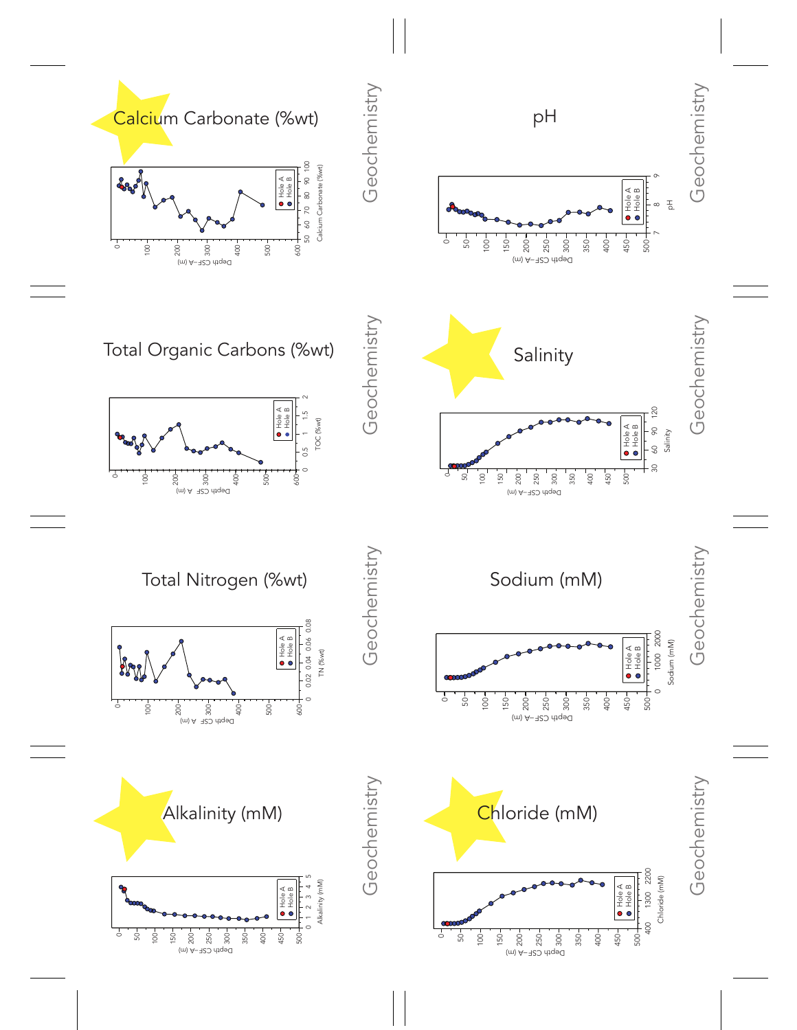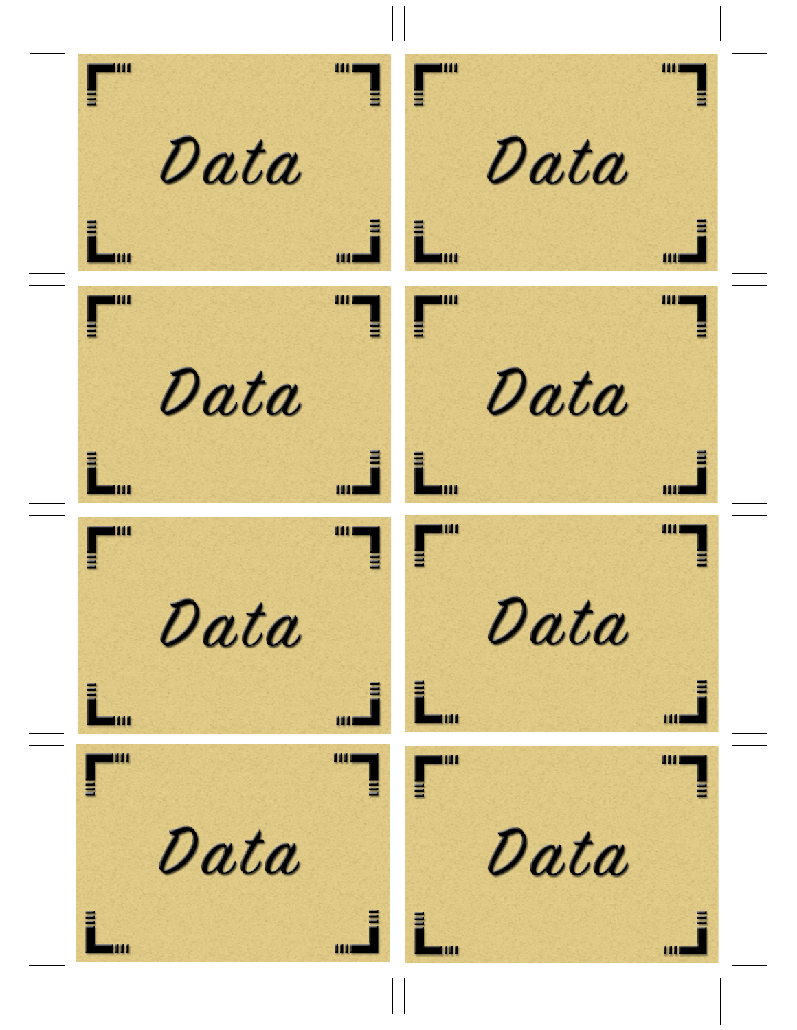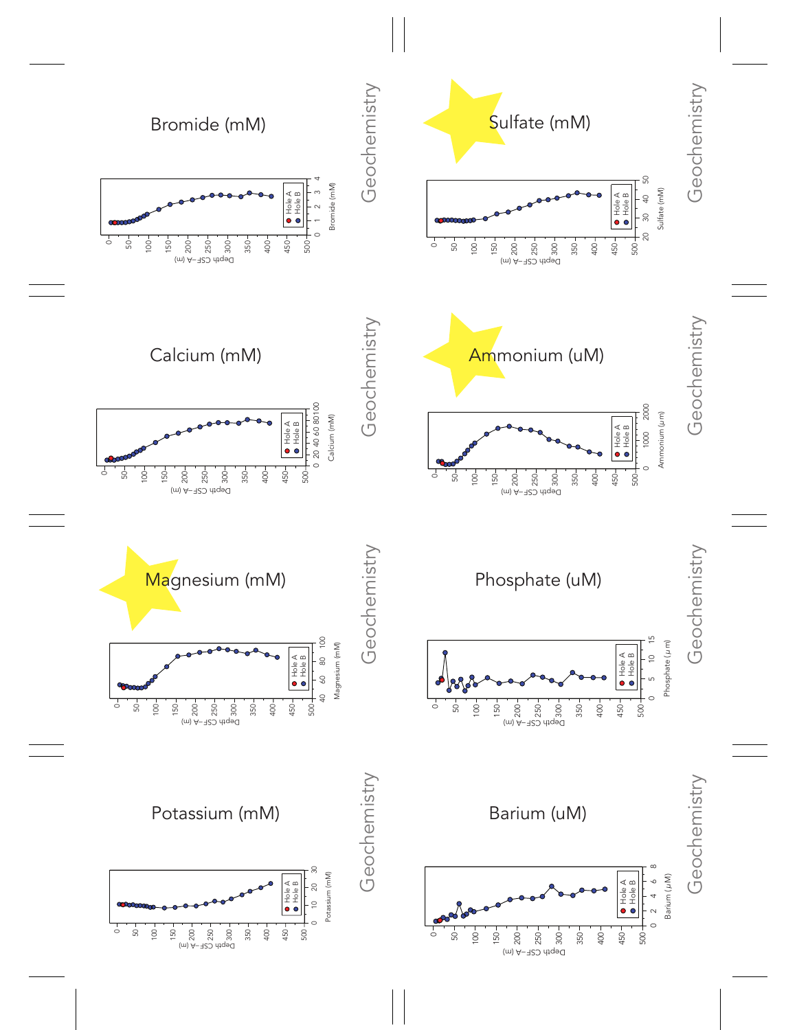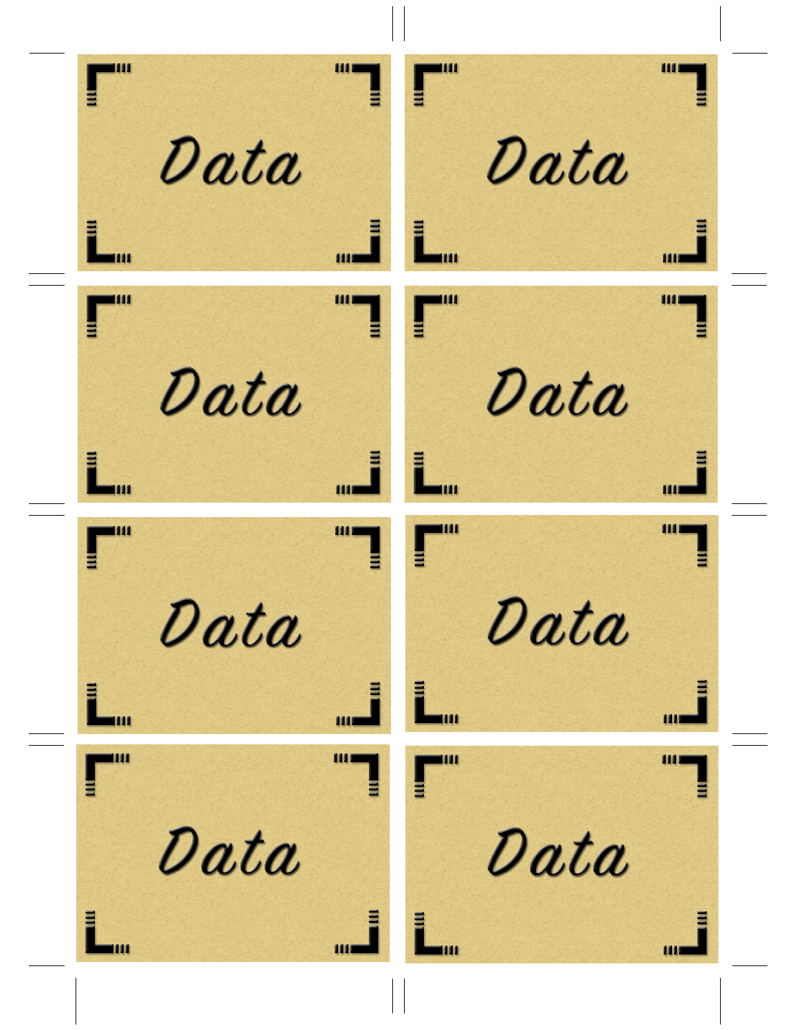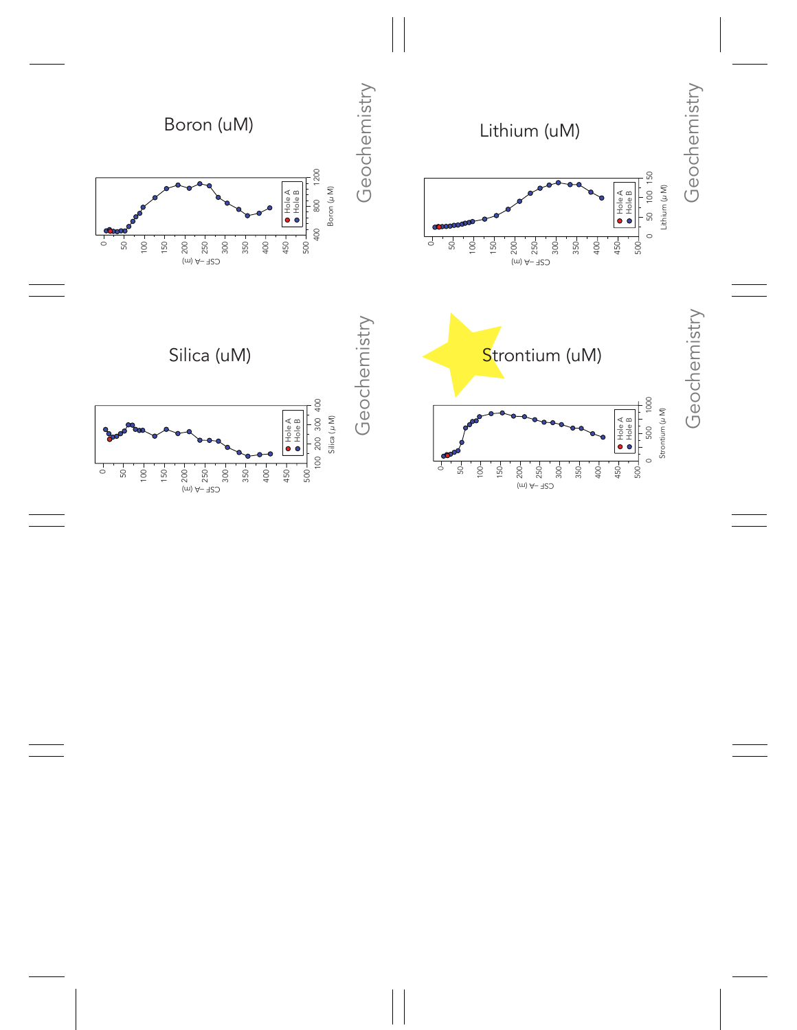